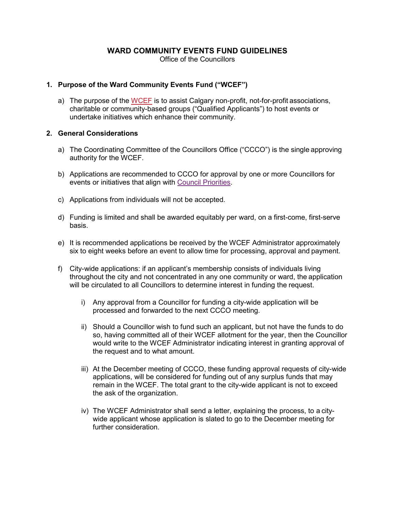# **WARD COMMUNITY EVENTS FUND GUIDELINES**

Office of the Councillors

## **1. Purpose of the Ward Community Events Fund ("WCEF")**

a) The purpose of the WCEF is to assist Calgary non-profit, not-for-profit associations, charitable or community-based groups ("Qualified Applicants") to host events or undertake initiatives which enhance their community.

### **2. General Considerations**

- a) The Coordinating Committee of the Councillors Office ("CCCO") is the single approving authority for the WCEF.
- b) Applications are recommended to CCCO for approval by one or more Councillors for events or initiatives that align with Council Priorities.
- c) Applications from individuals will not be accepted.
- d) Funding is limited and shall be awarded equitably per ward, on a first-come, first-serve basis.
- e) It is recommended applications be received by the WCEF Administrator approximately six to eight weeks before an event to allow time for processing, approval and payment.
- f) City-wide applications: if an applicant's membership consists of individuals living throughout the city and not concentrated in any one community or ward, the application will be circulated to all Councillors to determine interest in funding the request.
	- i) Any approval from a Councillor for funding a city-wide application will be processed and forwarded to the next CCCO meeting.
	- ii) Should a Councillor wish to fund such an applicant, but not have the funds to do so, having committed all of their WCEF allotment for the year, then the Councillor would write to the WCEF Administrator indicating interest in granting approval of the request and to what amount.
	- iii) At the December meeting of CCCO, these funding approval requests of city-wide applications, will be considered for funding out of any surplus funds that may remain in the WCEF. The total grant to the city-wide applicant is not to exceed the ask of the organization.
	- iv) The WCEF Administrator shall send a letter, explaining the process, to a citywide applicant whose application is slated to go to the December meeting for further consideration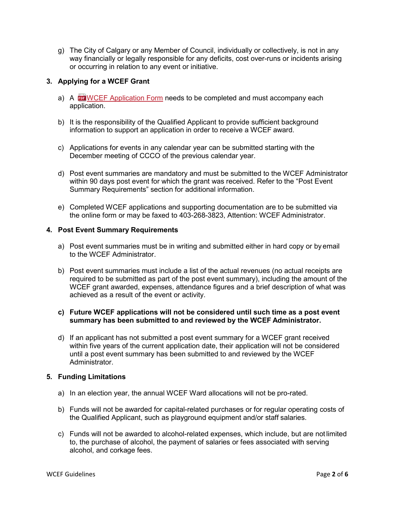g) The City of Calgary or any Member of Council, individually or collectively, is not in any way financially or legally responsible for any deficits, cost over-runs or incidents arising or occurring in relation to any event or initiative.

## **3. Applying for a WCEF Grant**

- a) A **MINO A** MCEF Application Form needs to be completed and must accompany each application.
- b) It is the responsibility of the Qualified Applicant to provide sufficient background information to support an application in order to receive a WCEF award.
- c) Applications for events in any calendar year can be submitted starting with the December meeting of CCCO of the previous calendar year.
- d) Post event summaries are mandatory and must be submitted to the WCEF Administrator within 90 days post event for which the grant was received. Refer to the "Post Event Summary Requirements" section for additional information.
- e) Completed WCEF applications and supporting documentation are to be submitted via the online form or may be faxed to 403-268-3823, Attention: WCEF Administrator.

### **4. Post Event Summary Requirements**

- a) Post event summaries must be in writing and submitted either in hard copy or by email to the WCEF Administrator.
- b) Post event summaries must include a list of the actual revenues (no actual receipts are required to be submitted as part of the post event summary), including the amount of the WCEF grant awarded, expenses, attendance figures and a brief description of what was achieved as a result of the event or activity.

### **c) Future WCEF applications will not be considered until such time as a post event summary has been submitted to and reviewed by the WCEF Administrator.**

d) If an applicant has not submitted a post event summary for a WCEF grant received within five years of the current application date, their application will not be considered until a post event summary has been submitted to and reviewed by the WCEF Administrator.

### **5. Funding Limitations**

- a) In an election year, the annual WCEF Ward allocations will not be pro-rated.
- b) Funds will not be awarded for capital-related purchases or for regular operating costs of the Qualified Applicant, such as playground equipment and/or staff salaries.
- c) Funds will not be awarded to alcohol-related expenses, which include, but are not limited to, the purchase of alcohol, the payment of salaries or fees associated with serving alcohol, and corkage fees.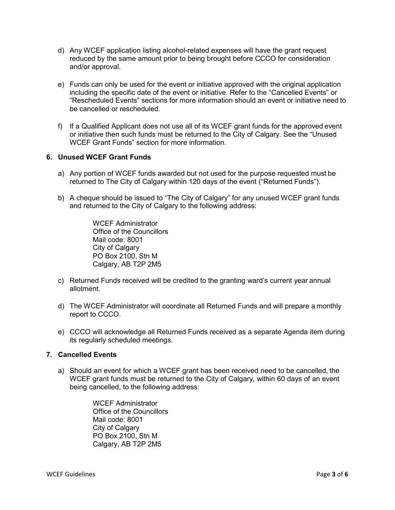- d) Any WCEF application listing alcohol-related expenses will have the grant request reduced by the same amount prior to being brought before CCCO for consideration and/or approval.
- e) Funds can only be used for the event or initiative approved with the original application including the specific date of the event or initiative. Refer to the "Cancelled Events" or "Rescheduled Events" sections for more information should an event or initiative need to be cancelled or rescheduled.
- f) If a Qualified Applicant does not use all of its WCEF grant funds for the approved event or initiative then such funds must be returned to the City of Calgary. See the "Unused WCEF Grant Funds" section for more information.

## **6. Unused WCEF Grant Funds**

- a) Any portion of WCEF funds awarded but not used for the purpose requested must be returned to The City of Calgary within 120 days of the event ("Returned Funds").
- b) A cheque should be issued to "The City of Calgary" for any unused WCEF grant funds and returned to the City of Calgary to the following address:

WCEF Administrator Office of the Councillors Mail code: 8001 City of Calgary PO Box 2100, Stn M Calgary, AB T2P 2M5

- c) Returned Funds received will be credited to the granting ward's current year annual allotment.
- d) The WCEF Administrator will coordinate all Returned Funds and will prepare a monthly report to CCCO.
- e) CCCO will acknowledge all Returned Funds received as a separate Agenda item during its regularly scheduled meetings.

## **7. Cancelled Events**

a) Should an event for which a WCEF grant has been received need to be cancelled, the WCEF grant funds must be returned to the City of Calgary, within 60 days of an event being cancelled, to the following address:

> WCEF Administrator Office of the Councillors Mail code: 8001 City of Calgary PO Box 2100, Stn M Calgary, AB T2P 2M5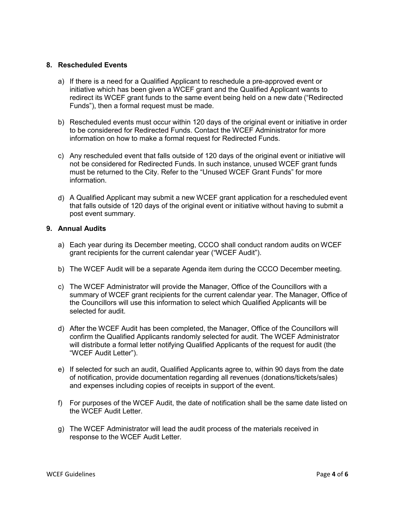### **8. Rescheduled Events**

- a) If there is a need for a Qualified Applicant to reschedule a pre-approved event or initiative which has been given a WCEF grant and the Qualified Applicant wants to redirect its WCEF grant funds to the same event being held on a new date ("Redirected Funds"), then a formal request must be made.
- b) Rescheduled events must occur within 120 days of the original event or initiative in order to be considered for Redirected Funds. Contact the WCEF Administrator for more information on how to make a formal request for Redirected Funds.
- c) Any rescheduled event that falls outside of 120 days of the original event or initiative will not be considered for Redirected Funds. In such instance, unused WCEF grant funds must be returned to the City. Refer to the "Unused WCEF Grant Funds" for more information.
- d) A Qualified Applicant may submit a new WCEF grant application for a rescheduled event that falls outside of 120 days of the original event or initiative without having to submit a post event summary.

### **9. Annual Audits**

- a) Each year during its December meeting, CCCO shall conduct random audits on WCEF grant recipients for the current calendar year ("WCEF Audit").
- b) The WCEF Audit will be a separate Agenda item during the CCCO December meeting.
- c) The WCEF Administrator will provide the Manager, Office of the Councillors with a summary of WCEF grant recipients for the current calendar year. The Manager, Office of the Councillors will use this information to select which Qualified Applicants will be selected for audit.
- d) After the WCEF Audit has been completed, the Manager, Office of the Councillors will confirm the Qualified Applicants randomly selected for audit. The WCEF Administrator will distribute a formal letter notifying Qualified Applicants of the request for audit (the "WCEF Audit Letter").
- e) If selected for such an audit, Qualified Applicants agree to, within 90 days from the date of notification, provide documentation regarding all revenues (donations/tickets/sales) and expenses including copies of receipts in support of the event.
- f) For purposes of the WCEF Audit, the date of notification shall be the same date listed on the WCEF Audit Letter.
- g) The WCEF Administrator will lead the audit process of the materials received in response to the WCEF Audit Letter.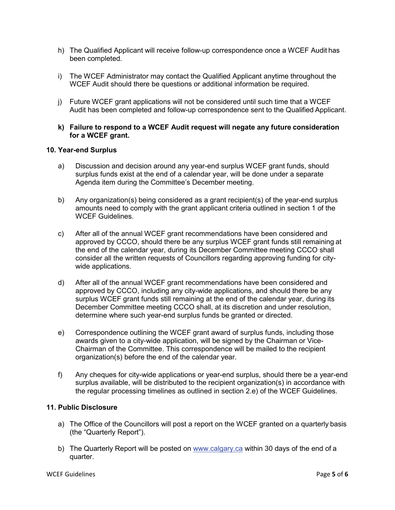- h) The Qualified Applicant will receive follow-up correspondence once a WCEF Audit has been completed.
- i) The WCEF Administrator may contact the Qualified Applicant anytime throughout the WCEF Audit should there be questions or additional information be required.
- j) Future WCEF grant applications will not be considered until such time that a WCEF Audit has been completed and follow-up correspondence sent to the Qualified Applicant.
- **k) Failure to respond to a WCEF Audit request will negate any future consideration for a WCEF grant.**

### **10. Year-end Surplus**

- a) Discussion and decision around any year-end surplus WCEF grant funds, should surplus funds exist at the end of a calendar year, will be done under a separate Agenda item during the Committee's December meeting.
- b) Any organization(s) being considered as a grant recipient(s) of the year-end surplus amounts need to comply with the grant applicant criteria outlined in section 1 of the WCEF Guidelines.
- c) After all of the annual WCEF grant recommendations have been considered and approved by CCCO, should there be any surplus WCEF grant funds still remaining at the end of the calendar year, during its December Committee meeting CCCO shall consider all the written requests of Councillors regarding approving funding for citywide applications.
- d) After all of the annual WCEF grant recommendations have been considered and approved by CCCO, including any city-wide applications, and should there be any surplus WCEF grant funds still remaining at the end of the calendar year, during its December Committee meeting CCCO shall, at its discretion and under resolution, determine where such year-end surplus funds be granted or directed.
- e) Correspondence outlining the WCEF grant award of surplus funds, including those awards given to a city-wide application, will be signed by the Chairman or Vice-Chairman of the Committee. This correspondence will be mailed to the recipient organization(s) before the end of the calendar year.
- f) Any cheques for city-wide applications or year-end surplus, should there be a year-end surplus available, will be distributed to the recipient organization(s) in accordance with the regular processing timelines as outlined in section 2.e) of the WCEF Guidelines.

### **11. Public Disclosure**

- a) The Office of the Councillors will post a report on the WCEF granted on a quarterly basis (the "Quarterly Report").
- b) The Quarterly Report will be posted on [www.calgary.ca](http://www.calgary.ca/) within 30 days of the end of a quarter.